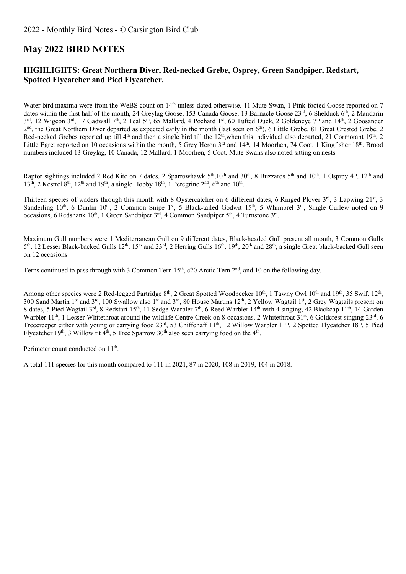# **May 2022 BIRD NOTES**

#### **HIGHLIGHTS: Great Northern Diver, Red-necked Grebe, Osprey, Green Sandpiper, Redstart, Spotted Flycatcher and Pied Flycatcher.**

Water bird maxima were from the WeBS count on 14<sup>th</sup> unless dated otherwise. 11 Mute Swan, 1 Pink-footed Goose reported on 7 dates within the first half of the month, 24 Greylag Goose, 153 Canada Goose, 13 Barnacle Goose  $23<sup>rd</sup>$ , 6 Shelduck 6<sup>th</sup>, 2 Mandarin 3rd, 12 Wigeon 3rd, 17 Gadwall 7<sup>th</sup>, 2 Teal 5<sup>th</sup>, 65 Mallard, 4 Pochard 1st, 60 Tufted Duck, 2 Goldeneye 7<sup>th</sup> and 14<sup>th</sup>, 2 Goosander 2<sup>nd</sup>, the Great Northern Diver departed as expected early in the month (last seen on 6<sup>th</sup>), 6 Little Grebe, 81 Great Crested Grebe, 2 Red-necked Grebes reported up till 4<sup>th</sup> and then a single bird till the 12<sup>th</sup>, when this individual also departed, 21 Cormorant 19<sup>th</sup>, 2 Little Egret reported on 10 occasions within the month, 5 Grey Heron 3<sup>rd</sup> and 14<sup>th</sup>, 14 Moorhen, 74 Coot, 1 Kingfisher 18<sup>th</sup>. Brood numbers included 13 Greylag, 10 Canada, 12 Mallard, 1 Moorhen, 5 Coot. Mute Swans also noted sitting on nests

Raptor sightings included 2 Red Kite on 7 dates, 2 Sparrowhawk 5<sup>th</sup>,10<sup>th</sup> and 30<sup>th</sup>, 8 Buzzards 5<sup>th</sup> and 10<sup>th</sup>, 1 Osprey 4<sup>th</sup>, 12<sup>th</sup> and  $13<sup>th</sup>$ , 2 Kestrel  $8<sup>th</sup>$ ,  $12<sup>th</sup>$  and  $19<sup>th</sup>$ , a single Hobby  $18<sup>th</sup>$ ,  $1$  Peregrine  $2<sup>nd</sup>$ ,  $6<sup>th</sup>$  and  $10<sup>th</sup>$ .

Thirteen species of waders through this month with 8 Oystercatcher on 6 different dates, 6 Ringed Plover 3<sup>rd</sup>, 3 Lapwing 21<sup>st</sup>, 3 Sanderling  $10^{th}$ , 6 Dunlin  $10^{th}$ , 2 Common Snipe  $1^{st}$ , 5 Black-tailed Godwit  $15^{th}$ , 5 Whimbrel  $3^{rd}$ , Single Curlew noted on 9 occasions, 6 Redshank  $10^{th}$ , 1 Green Sandpiper  $3^{rd}$ , 4 Common Sandpiper  $5^{th}$ , 4 Turnstone  $3^{rd}$ .

Maximum Gull numbers were 1 Mediterranean Gull on 9 different dates, Black-headed Gull present all month, 3 Common Gulls 5<sup>th</sup>, 12 Lesser Black-backed Gulls 12<sup>th</sup>, 15<sup>th</sup> and 23<sup>rd</sup>, 2 Herring Gulls 16<sup>th</sup>, 19<sup>th</sup>, 20<sup>th</sup> and 28<sup>th</sup>, a single Great black-backed Gull seen on 12 occasions.

Terns continued to pass through with 3 Common Tern  $15<sup>th</sup>$ , c20 Arctic Tern  $2<sup>nd</sup>$ , and 10 on the following day.

Among other species were 2 Red-legged Partridge 8<sup>th</sup>, 2 Great Spotted Woodpecker 10<sup>th</sup>, 1 Tawny Owl 10<sup>th</sup> and 19<sup>th</sup>, 35 Swift 12<sup>th</sup>, 300 Sand Martin 1<sup>st</sup> and 3<sup>rd</sup>, 100 Swallow also 1<sup>st</sup> and 3<sup>rd</sup>, 80 House Martins 12<sup>th</sup>, 2 Yellow Wagtail 1<sup>st</sup>, 2 Grey Wagtails present on 8 dates, 5 Pied Wagtail 3<sup>rd</sup>, 8 Redstart 15<sup>th</sup>, 11 Sedge Warbler 7<sup>th</sup>, 6 Reed Warbler 14<sup>th</sup> with 4 singing, 42 Blackcap 11<sup>th</sup>, 14 Garden Warbler 11<sup>th</sup>, 1 Lesser Whitethroat around the wildlife Centre Creek on 8 occasions, 2 Whitethroat 31<sup>st</sup>, 6 Goldcrest singing  $23<sup>rd</sup>$ , 6 Treecreeper either with young or carrying food 23<sup>rd</sup>, 53 Chiffchaff 11<sup>th</sup>, 12 Willow Warbler 11<sup>th</sup>, 2 Spotted Flycatcher 18<sup>th</sup>, 5 Pied Flycatcher 19<sup>th</sup>, 3 Willow tit 4<sup>th</sup>, 5 Tree Sparrow 30<sup>th</sup> also seen carrying food on the 4<sup>th</sup>.

Perimeter count conducted on 11<sup>th</sup>.

A total 111 species for this month compared to 111 in 2021, 87 in 2020, 108 in 2019, 104 in 2018.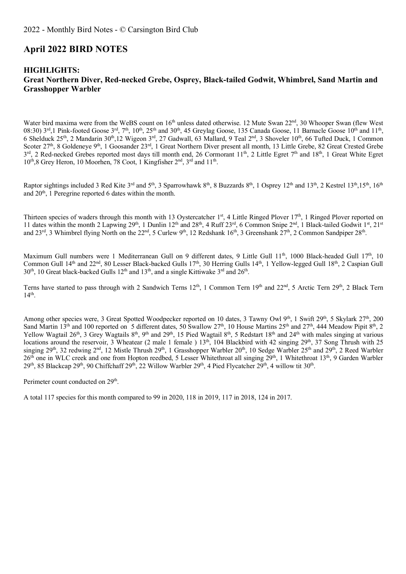#### **April 2022 BIRD NOTES**

#### **HIGHLIGHTS: Great Northern Diver, Red-necked Grebe, Osprey, Black-tailed Godwit, Whimbrel, Sand Martin and Grasshopper Warbler**

Water bird maxima were from the WeBS count on 16<sup>th</sup> unless dated otherwise. 12 Mute Swan 22<sup>nd</sup>, 30 Whooper Swan (flew West 08:30)  $3^{\text{rd}}$ ,1 Pink-footed Goose  $3^{\text{rd}}$ ,  $7^{\text{th}}$ ,  $10^{\text{th}}$ ,  $25^{\text{th}}$  and  $30^{\text{th}}$ ,  $45$  Greylag Goose, 135 Canada Goose, 11 Barnacle Goose  $10^{\text{th}}$  and  $11^{\text{th}}$ , 6 Shelduck 25<sup>th</sup>, 2 Mandarin 30<sup>th</sup>,12 Wigeon 3<sup>rd</sup>, 27 Gadwall, 63 Mallard, 9 Teal 2<sup>nd</sup>, 3 Shoveler 10<sup>th</sup>, 66 Tufted Duck, 1 Common Scoter 27<sup>th</sup>, 8 Goldeneye 9<sup>th</sup>, 1 Goosander 23<sup>rd</sup>, 1 Great Northern Diver present all month, 13 Little Grebe, 82 Great Crested Grebe  $3^{rd}$ , 2 Red-necked Grebes reported most days till month end, 26 Cormorant 11<sup>th</sup>, 2 Little Egret 7<sup>th</sup> and 18<sup>th</sup>, 1 Great White Egret  $10^{th}$ ,8 Grey Heron, 10 Moorhen, 78 Coot, 1 Kingfisher  $2<sup>nd</sup>$ ,  $3<sup>rd</sup>$  and  $11<sup>th</sup>$ .

Raptor sightings included 3 Red Kite 3<sup>rd</sup> and 5<sup>th</sup>, 3 Sparrowhawk 8<sup>th</sup>, 8 Buzzards 8<sup>th</sup>, 1 Osprey 12<sup>th</sup> and 13<sup>th</sup>, 2 Kestrel 13<sup>th</sup>, 15<sup>th</sup>, 16<sup>th</sup> and  $20<sup>th</sup>$ , 1 Peregrine reported 6 dates within the month.

Thirteen species of waders through this month with 13 Oystercatcher 1<sup>st</sup>, 4 Little Ringed Plover 17<sup>th</sup>, 1 Ringed Plover reported on 11 dates within the month 2 Lapwing 29<sup>th</sup>, 1 Dunlin 12<sup>th</sup> and 28<sup>th</sup>, 4 Ruff 23<sup>rd</sup>, 6 Common Snipe 2<sup>nd</sup>, 1 Black-tailed Godwit 1<sup>st</sup>, 21<sup>st</sup> and 23<sup>rd</sup>, 3 Whimbrel flying North on the 22<sup>nd</sup>, 5 Curlew 9<sup>th</sup>, 12 Redshank 16<sup>th</sup>, 3 Greenshank 27<sup>th</sup>, 2 Common Sandpiper 28<sup>th</sup>.

Maximum Gull numbers were 1 Mediterranean Gull on 9 different dates, 9 Little Gull 11<sup>th</sup>, 1000 Black-headed Gull 17<sup>th</sup>, 10 Common Gull 14<sup>th</sup> and 22<sup>nd</sup>, 80 Lesser Black-backed Gulls 17<sup>th</sup>, 30 Herring Gulls 14<sup>th</sup>, 1 Yellow-legged Gull 18<sup>th</sup>, 2 Caspian Gull 30<sup>th</sup>, 10 Great black-backed Gulls 12<sup>th</sup> and 13<sup>th</sup>, and a single Kittiwake 3<sup>rd</sup> and 26<sup>th</sup>.

Terns have started to pass through with 2 Sandwich Terns 12<sup>th</sup>, 1 Common Tern 19<sup>th</sup> and 22<sup>nd</sup>, 5 Arctic Tern 29<sup>th</sup>, 2 Black Tern  $14<sup>th</sup>$ 

Among other species were, 3 Great Spotted Woodpecker reported on 10 dates, 3 Tawny Owl 9<sup>th</sup>, 1 Swift 29<sup>th</sup>, 5 Skylark 27<sup>th</sup>, 200 Sand Martin  $13<sup>th</sup>$  and 100 reported on 5 different dates, 50 Swallow 27<sup>th</sup>, 10 House Martins 25<sup>th</sup> and 27<sup>th</sup>, 444 Meadow Pipit  $8<sup>th</sup>$ , 2 Yellow Wagtail 26<sup>th</sup>, 3 Grey Wagtails 8<sup>th</sup>, 9<sup>th</sup> and 29<sup>th</sup>, 15 Pied Wagtail 8<sup>th</sup>, 5 Redstart 18<sup>th</sup> and 24<sup>th</sup> with males singing at various locations around the reservoir, 3 Wheatear (2 male 1 female ) 13<sup>th</sup>, 104 Blackbird with 42 singing 29<sup>th</sup>, 37 Song Thrush with 25 singing 29<sup>th</sup>, 32 redwing 2<sup>nd</sup>, 12 Mistle Thrush 29<sup>th</sup>, 1 Grasshopper Warbler 20<sup>th</sup>, 10 Sedge Warbler 25<sup>th</sup> and 29<sup>th</sup>, 2 Reed Warbler  $26<sup>th</sup>$  one in WLC creek and one from Hopton reedbed, 5 Lesser Whitethroat all singing  $29<sup>th</sup>$ , 1 Whitethroat 13<sup>th</sup>, 9 Garden Warbler 29<sup>th</sup>, 85 Blackcap 29<sup>th</sup>, 90 Chiffchaff 29<sup>th</sup>, 22 Willow Warbler 29<sup>th</sup>, 4 Pied Flycatcher 29<sup>th</sup>, 4 willow tit 30<sup>th</sup>.

Perimeter count conducted on 29<sup>th</sup>.

A total 117 species for this month compared to 99 in 2020, 118 in 2019, 117 in 2018, 124 in 2017.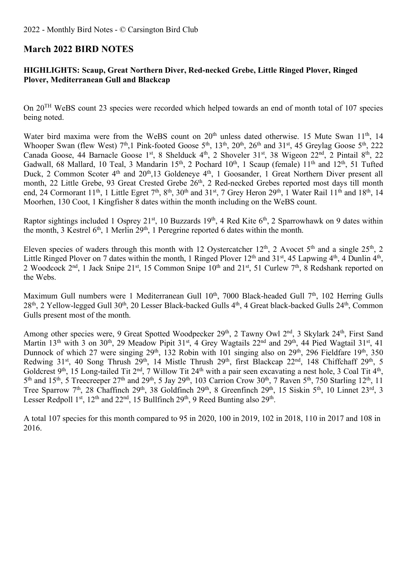### **March 2022 BIRD NOTES**

#### **HIGHLIGHTS: Scaup, Great Northern Diver, Red-necked Grebe, Little Ringed Plover, Ringed Plover, Mediterranean Gull and Blackcap**

On 20TH WeBS count 23 species were recorded which helped towards an end of month total of 107 species being noted.

Water bird maxima were from the WeBS count on 20<sup>th</sup> unless dated otherwise. 15 Mute Swan 11<sup>th</sup>, 14 Whooper Swan (flew West)  $7<sup>th</sup>$ ,1 Pink-footed Goose  $5<sup>th</sup>$ ,  $13<sup>th</sup>$ ,  $20<sup>th</sup>$ ,  $26<sup>th</sup>$  and  $31<sup>st</sup>$ ,  $45$  Greylag Goose  $5<sup>th</sup>$ ,  $222$ Canada Goose, 44 Barnacle Goose 1st, 8 Shelduck 4th, 2 Shoveler 31st, 38 Wigeon 22nd, 2 Pintail 8th, 22 Gadwall, 68 Mallard, 10 Teal, 3 Mandarin 15<sup>th</sup>, 2 Pochard 10<sup>th</sup>, 1 Scaup (female) 11<sup>th</sup> and 12<sup>th</sup>, 51 Tufted Duck, 2 Common Scoter 4<sup>th</sup> and 20<sup>th</sup>, 13 Goldeneye 4<sup>th</sup>, 1 Goosander, 1 Great Northern Diver present all month, 22 Little Grebe, 93 Great Crested Grebe 26<sup>th</sup>, 2 Red-necked Grebes reported most days till month end, 24 Cormorant 11<sup>th</sup>, 1 Little Egret 7<sup>th</sup>, 8<sup>th</sup>, 30<sup>th</sup> and 31<sup>st</sup>, 7 Grey Heron 29<sup>th</sup>, 1 Water Rail 11<sup>th</sup> and 18<sup>th</sup>, 14 Moorhen, 130 Coot, 1 Kingfisher 8 dates within the month including on the WeBS count.

Raptor sightings included 1 Osprey 21<sup>st</sup>, 10 Buzzards 19<sup>th</sup>, 4 Red Kite  $6<sup>th</sup>$ , 2 Sparrowhawk on 9 dates within the month, 3 Kestrel  $6<sup>th</sup>$ , 1 Merlin 29<sup>th</sup>, 1 Peregrine reported 6 dates within the month.

Eleven species of waders through this month with 12 Oystercatcher 12<sup>th</sup>, 2 Avocet 5<sup>th</sup> and a single 25<sup>th</sup>, 2 Little Ringed Plover on 7 dates within the month, 1 Ringed Plover  $12<sup>th</sup>$  and  $31<sup>st</sup>$ , 45 Lapwing  $4<sup>th</sup>$ , 4 Dunlin  $4<sup>th</sup>$ , 2 Woodcock 2<sup>nd</sup>, 1 Jack Snipe 21<sup>st</sup>, 15 Common Snipe 10<sup>th</sup> and 21<sup>st</sup>, 51 Curlew 7<sup>th</sup>, 8 Redshank reported on the Webs.

Maximum Gull numbers were 1 Mediterranean Gull  $10<sup>th</sup>$ , 7000 Black-headed Gull  $7<sup>th</sup>$ , 102 Herring Gulls 28<sup>th</sup>, 2 Yellow-legged Gull 30<sup>th</sup>, 20 Lesser Black-backed Gulls 4<sup>th</sup>, 4 Great black-backed Gulls 24<sup>th</sup>, Common Gulls present most of the month.

Among other species were, 9 Great Spotted Woodpecker 29<sup>th</sup>, 2 Tawny Owl 2<sup>nd</sup>, 3 Skylark 24<sup>th</sup>, First Sand Martin 13<sup>th</sup> with 3 on 30<sup>th</sup>, 29 Meadow Pipit 31<sup>st</sup>, 4 Grey Wagtails 22<sup>nd</sup> and 29<sup>th</sup>, 44 Pied Wagtail 31<sup>st</sup>, 41 Dunnock of which 27 were singing  $29^{th}$ ,  $132$  Robin with 101 singing also on  $29^{th}$ ,  $296$  Fieldfare  $19^{th}$ ,  $350$ Redwing 31<sup>st</sup>, 40 Song Thrush 29<sup>th</sup>, 14 Mistle Thrush 29<sup>th</sup>, first Blackcap 22<sup>nd</sup>, 148 Chiffchaff 29<sup>th</sup>, 5 Goldcrest 9<sup>th</sup>, 15 Long-tailed Tit 2<sup>nd</sup>, 7 Willow Tit 24<sup>th</sup> with a pair seen excavating a nest hole, 3 Coal Tit 4<sup>th</sup>,  $5<sup>th</sup>$  and  $15<sup>th</sup>$ , 5 Treecreeper 27<sup>th</sup> and 29<sup>th</sup>, 5 Jay 29<sup>th</sup>, 103 Carrion Crow 30<sup>th</sup>, 7 Raven 5<sup>th</sup>, 750 Starling 12<sup>th</sup>, 11 Tree Sparrow 7<sup>th</sup>, 28 Chaffinch 29<sup>th</sup>, 38 Goldfinch 29<sup>th</sup>, 8 Greenfinch 29<sup>th</sup>, 15 Siskin 5<sup>th</sup>, 10 Linnet 23<sup>rd</sup>, 3 Lesser Redpoll 1st,  $12<sup>th</sup>$  and  $22<sup>nd</sup>$ ,  $15$  Bullfinch  $29<sup>th</sup>$ ,  $9$  Reed Bunting also  $29<sup>th</sup>$ .

A total 107 species for this month compared to 95 in 2020, 100 in 2019, 102 in 2018, 110 in 2017 and 108 in 2016.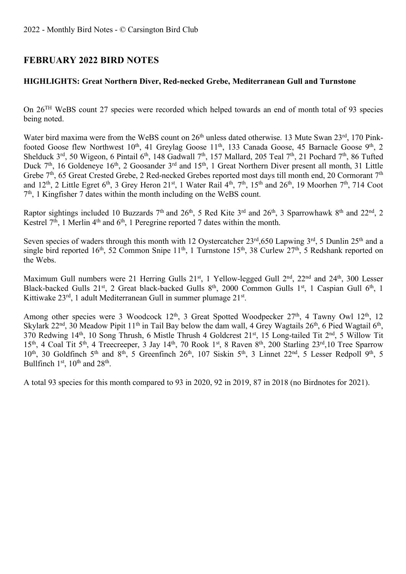# **FEBRUARY 2022 BIRD NOTES**

#### **HIGHLIGHTS: Great Northern Diver, Red-necked Grebe, Mediterranean Gull and Turnstone**

On 26TH WeBS count 27 species were recorded which helped towards an end of month total of 93 species being noted.

Water bird maxima were from the WeBS count on 26<sup>th</sup> unless dated otherwise. 13 Mute Swan 23<sup>rd</sup>, 170 Pinkfooted Goose flew Northwest 10<sup>th</sup>, 41 Greylag Goose 11<sup>th</sup>, 133 Canada Goose, 45 Barnacle Goose 9<sup>th</sup>, 2 Shelduck 3<sup>rd</sup>, 50 Wigeon, 6 Pintail 6<sup>th</sup>, 148 Gadwall 7<sup>th</sup>, 157 Mallard, 205 Teal 7<sup>th</sup>, 21 Pochard 7<sup>th</sup>, 86 Tufted Duck 7<sup>th</sup>, 16 Goldeneye 16<sup>th</sup>, 2 Goosander 3<sup>rd</sup> and 15<sup>th</sup>, 1 Great Northern Diver present all month, 31 Little Grebe 7<sup>th</sup>, 65 Great Crested Grebe, 2 Red-necked Grebes reported most days till month end, 20 Cormorant 7<sup>th</sup> and  $12^{th}$ , 2 Little Egret 6<sup>th</sup>, 3 Grey Heron  $21^{st}$ , 1 Water Rail 4<sup>th</sup>, 7<sup>th</sup>, 15<sup>th</sup> and  $26^{th}$ , 19 Moorhen 7<sup>th</sup>, 714 Coot 7th, 1 Kingfisher 7 dates within the month including on the WeBS count.

Raptor sightings included 10 Buzzards  $7<sup>th</sup>$  and  $26<sup>th</sup>$ , 5 Red Kite  $3<sup>rd</sup>$  and  $26<sup>th</sup>$ , 3 Sparrowhawk  $8<sup>th</sup>$  and  $22<sup>nd</sup>$ , 2 Kestrel  $7<sup>th</sup>$ , 1 Merlin  $4<sup>th</sup>$  and  $6<sup>th</sup>$ , 1 Peregrine reported 7 dates within the month.

Seven species of waders through this month with 12 Oystercatcher  $23<sup>rd</sup>$ ,650 Lapwing  $3<sup>rd</sup>$ , 5 Dunlin  $25<sup>th</sup>$  and a single bird reported 16<sup>th</sup>, 52 Common Snipe 11<sup>th</sup>, 1 Turnstone 15<sup>th</sup>, 38 Curlew  $27<sup>th</sup>$ , 5 Redshank reported on the Webs.

Maximum Gull numbers were 21 Herring Gulls 21<sup>st</sup>, 1 Yellow-legged Gull 2<sup>nd</sup>, 22<sup>nd</sup> and 24<sup>th</sup>, 300 Lesser Black-backed Gulls 21<sup>st</sup>, 2 Great black-backed Gulls 8<sup>th</sup>, 2000 Common Gulls 1<sup>st</sup>, 1 Caspian Gull 6<sup>th</sup>, 1 Kittiwake 23rd, 1 adult Mediterranean Gull in summer plumage 21st.

Among other species were 3 Woodcock 12<sup>th</sup>, 3 Great Spotted Woodpecker 27<sup>th</sup>, 4 Tawny Owl 12<sup>th</sup>, 12 Skylark  $22^{nd}$ ,  $30$  Meadow Pipit  $11^{th}$  in Tail Bay below the dam wall, 4 Grey Wagtails  $26^{th}$ , 6 Pied Wagtail  $6^{th}$ , 370 Redwing 14th, 10 Song Thrush, 6 Mistle Thrush 4 Goldcrest 21st, 15 Long-tailed Tit 2nd, 5 Willow Tit 15<sup>th</sup>, 4 Coal Tit 5<sup>th</sup>, 4 Treecreeper, 3 Jay 14<sup>th</sup>, 70 Rook 1<sup>st</sup>, 8 Raven 8<sup>th</sup>, 200 Starling 23<sup>rd</sup>,10 Tree Sparrow 10<sup>th</sup>, 30 Goldfinch 5<sup>th</sup> and 8<sup>th</sup>, 5 Greenfinch 26<sup>th</sup>, 107 Siskin 5<sup>th</sup>, 3 Linnet 22<sup>nd</sup>, 5 Lesser Redpoll 9<sup>th</sup>, 5 Bullfinch  $1<sup>st</sup>$ ,  $10<sup>th</sup>$  and  $28<sup>th</sup>$ .

A total 93 species for this month compared to 93 in 2020, 92 in 2019, 87 in 2018 (no Birdnotes for 2021).